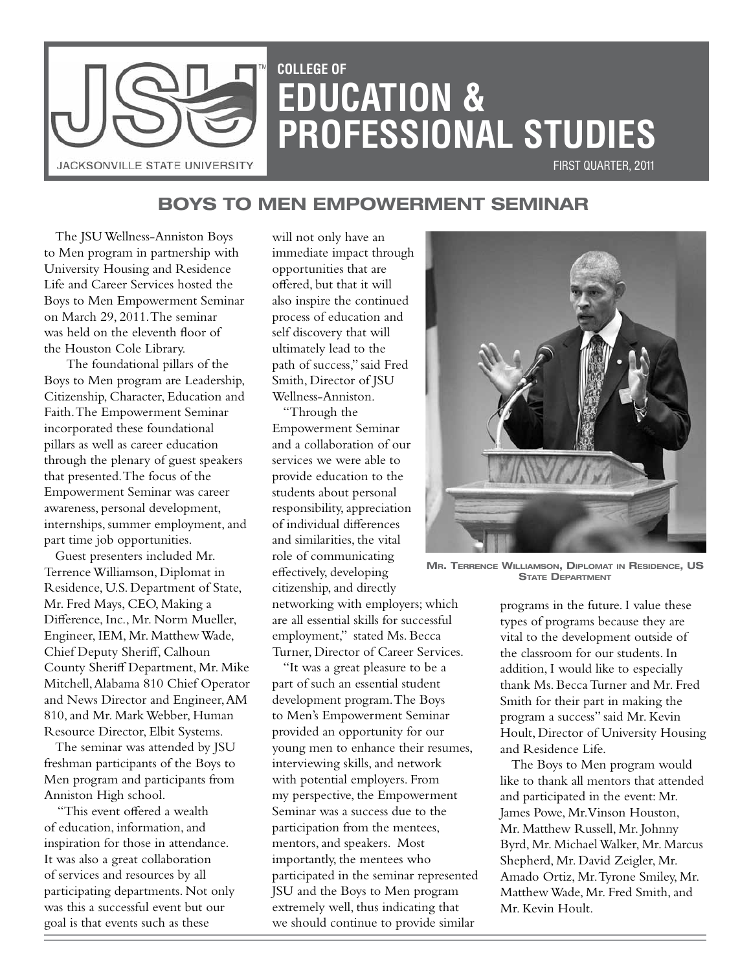

# **COLLEGE OF EDUCATION & PROFESSIONAL STUDIES**

 First Quarter, 2011

## **Boys to Men Empowerment Seminar**

The JSU Wellness-Anniston Boys to Men program in partnership with University Housing and Residence Life and Career Services hosted the Boys to Men Empowerment Seminar on March 29, 2011. The seminar was held on the eleventh floor of the Houston Cole Library.

 The foundational pillars of the Boys to Men program are Leadership, Citizenship, Character, Education and Faith. The Empowerment Seminar incorporated these foundational pillars as well as career education through the plenary of guest speakers that presented. The focus of the Empowerment Seminar was career awareness, personal development, internships, summer employment, and part time job opportunities.

Guest presenters included Mr. Terrence Williamson, Diplomat in Residence, U.S. Department of State, Mr. Fred Mays, CEO, Making a Difference, Inc., Mr. Norm Mueller, Engineer, IEM, Mr. Matthew Wade, Chief Deputy Sheriff, Calhoun County Sheriff Department, Mr. Mike Mitchell, Alabama 810 Chief Operator and News Director and Engineer, AM 810, and Mr. Mark Webber, Human Resource Director, Elbit Systems.

The seminar was attended by JSU freshman participants of the Boys to Men program and participants from Anniston High school.

 "This event offered a wealth of education, information, and inspiration for those in attendance. It was also a great collaboration of services and resources by all participating departments. Not only was this a successful event but our goal is that events such as these

will not only have an immediate impact through opportunities that are offered, but that it will also inspire the continued process of education and self discovery that will ultimately lead to the path of success," said Fred Smith, Director of JSU Wellness-Anniston.

"Through the Empowerment Seminar and a collaboration of our services we were able to provide education to the students about personal responsibility, appreciation of individual differences and similarities, the vital role of communicating effectively, developing citizenship, and directly networking with employers; which are all essential skills for successful employment," stated Ms. Becca Turner, Director of Career Services.

"It was a great pleasure to be a part of such an essential student development program. The Boys to Men's Empowerment Seminar provided an opportunity for our young men to enhance their resumes, interviewing skills, and network with potential employers. From my perspective, the Empowerment Seminar was a success due to the participation from the mentees, mentors, and speakers. Most importantly, the mentees who participated in the seminar represented JSU and the Boys to Men program extremely well, thus indicating that we should continue to provide similar



**Mr. Terrence Williamson, Diplomat in Residence, US STATE DEPARTMENT** 

programs in the future. I value these types of programs because they are vital to the development outside of the classroom for our students. In addition, I would like to especially thank Ms. Becca Turner and Mr. Fred Smith for their part in making the program a success" said Mr. Kevin Hoult, Director of University Housing and Residence Life.

The Boys to Men program would like to thank all mentors that attended and participated in the event: Mr. James Powe, Mr. Vinson Houston, Mr. Matthew Russell, Mr. Johnny Byrd, Mr. Michael Walker, Mr. Marcus Shepherd, Mr. David Zeigler, Mr. Amado Ortiz, Mr. Tyrone Smiley, Mr. Matthew Wade, Mr. Fred Smith, and Mr. Kevin Hoult.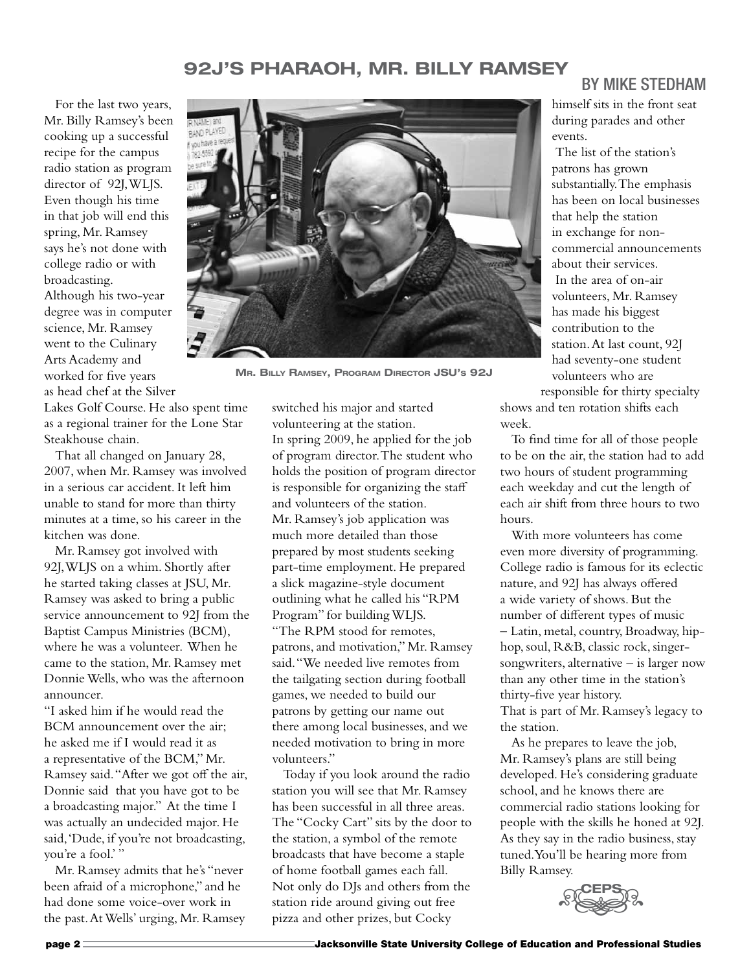## **92J's Pharaoh, Mr. Billy Ramsey**

For the last two years, Mr. Billy Ramsey's been cooking up a successful recipe for the campus radio station as program director of 92J, WLJS. Even though his time in that job will end this spring, Mr. Ramsey says he's not done with college radio or with broadcasting. Although his two-year degree was in computer science, Mr. Ramsey went to the Culinary Arts Academy and worked for five years as head chef at the Silver

Lakes Golf Course. He also spent time as a regional trainer for the Lone Star Steakhouse chain.

That all changed on January 28, 2007, when Mr. Ramsey was involved in a serious car accident. It left him unable to stand for more than thirty minutes at a time, so his career in the kitchen was done.

Mr. Ramsey got involved with 92J, WLJS on a whim. Shortly after he started taking classes at JSU, Mr. Ramsey was asked to bring a public service announcement to 92J from the Baptist Campus Ministries (BCM), where he was a volunteer. When he came to the station, Mr. Ramsey met Donnie Wells, who was the afternoon announcer.

"I asked him if he would read the BCM announcement over the air; he asked me if I would read it as a representative of the BCM," Mr. Ramsey said. "After we got off the air, Donnie said that you have got to be a broadcasting major." At the time I was actually an undecided major. He said, 'Dude, if you're not broadcasting, you're a fool.'"

Mr. Ramsey admits that he's "never been afraid of a microphone," and he had done some voice-over work in the past. At Wells' urging, Mr. Ramsey



**Mr. Billy Ramsey, Program Director JSU's 92J**

switched his major and started volunteering at the station. In spring 2009, he applied for the job of program director. The student who holds the position of program director is responsible for organizing the staff and volunteers of the station. Mr. Ramsey's job application was much more detailed than those prepared by most students seeking part-time employment. He prepared a slick magazine-style document outlining what he called his "RPM Program" for building WLJS. "The RPM stood for remotes, patrons, and motivation," Mr. Ramsey said. "We needed live remotes from the tailgating section during football games, we needed to build our patrons by getting our name out there among local businesses, and we needed motivation to bring in more volunteers."

Today if you look around the radio station you will see that Mr. Ramsey has been successful in all three areas. The "Cocky Cart" sits by the door to the station, a symbol of the remote broadcasts that have become a staple of home football games each fall. Not only do DJs and others from the station ride around giving out free pizza and other prizes, but Cocky

## By Mike Stedham

himself sits in the front seat during parades and other events.

The list of the station's patrons has grown substantially. The emphasis has been on local businesses that help the station in exchange for noncommercial announcements about their services. In the area of on-air volunteers, Mr. Ramsey has made his biggest contribution to the station. At last count, 92J had seventy-one student volunteers who are

responsible for thirty specialty shows and ten rotation shifts each week.

To find time for all of those people to be on the air, the station had to add two hours of student programming each weekday and cut the length of each air shift from three hours to two hours.

With more volunteers has come even more diversity of programming. College radio is famous for its eclectic nature, and 92J has always offered a wide variety of shows. But the number of different types of music – Latin, metal, country, Broadway, hiphop, soul, R&B, classic rock, singersongwriters, alternative – is larger now than any other time in the station's thirty-five year history. That is part of Mr. Ramsey's legacy to the station.

As he prepares to leave the job, Mr. Ramsey's plans are still being developed. He's considering graduate school, and he knows there are commercial radio stations looking for people with the skills he honed at 92J. As they say in the radio business, stay tuned. You'll be hearing more from Billy Ramsey.

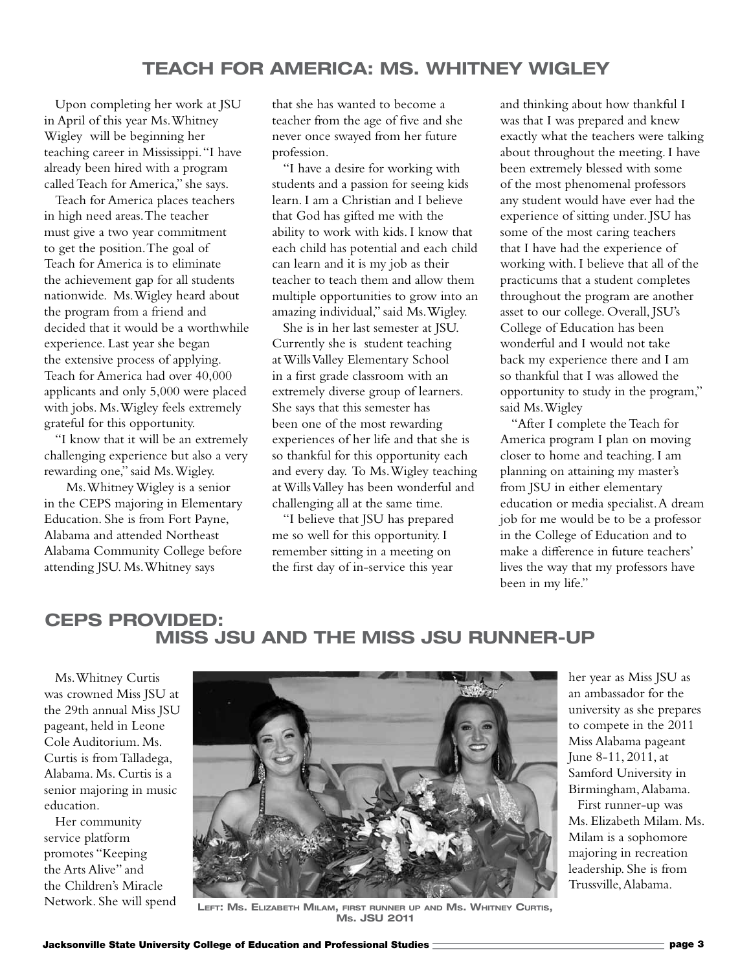Upon completing her work at JSU in April of this year Ms. Whitney Wigley will be beginning her teaching career in Mississippi. "I have already been hired with a program called Teach for America," she says.

Teach for America places teachers in high need areas. The teacher must give a two year commitment to get the position. The goal of Teach for America is to eliminate the achievement gap for all students nationwide. Ms. Wigley heard about the program from a friend and decided that it would be a worthwhile experience. Last year she began the extensive process of applying. Teach for America had over 40,000 applicants and only 5,000 were placed with jobs. Ms. Wigley feels extremely grateful for this opportunity.

"I know that it will be an extremely challenging experience but also a very rewarding one," said Ms. Wigley.

 Ms. Whitney Wigley is a senior in the CEPS majoring in Elementary Education. She is from Fort Payne, Alabama and attended Northeast Alabama Community College before attending JSU. Ms. Whitney says

that she has wanted to become a teacher from the age of five and she never once swayed from her future profession.

"I have a desire for working with students and a passion for seeing kids learn. I am a Christian and I believe that God has gifted me with the ability to work with kids. I know that each child has potential and each child can learn and it is my job as their teacher to teach them and allow them multiple opportunities to grow into an amazing individual," said Ms. Wigley.

She is in her last semester at JSU. Currently she is student teaching at Wills Valley Elementary School in a first grade classroom with an extremely diverse group of learners. She says that this semester has been one of the most rewarding experiences of her life and that she is so thankful for this opportunity each and every day. To Ms. Wigley teaching at Wills Valley has been wonderful and challenging all at the same time.

"I believe that JSU has prepared me so well for this opportunity. I remember sitting in a meeting on the first day of in-service this year

and thinking about how thankful I was that I was prepared and knew exactly what the teachers were talking about throughout the meeting. I have been extremely blessed with some of the most phenomenal professors any student would have ever had the experience of sitting under. JSU has some of the most caring teachers that I have had the experience of working with. I believe that all of the practicums that a student completes throughout the program are another asset to our college. Overall, JSU's College of Education has been wonderful and I would not take back my experience there and I am so thankful that I was allowed the opportunity to study in the program," said Ms. Wigley

"After I complete the Teach for America program I plan on moving closer to home and teaching. I am planning on attaining my master's from JSU in either elementary education or media specialist. A dream job for me would be to be a professor in the College of Education and to make a difference in future teachers' lives the way that my professors have been in my life."

## **CEPS Provided: Miss JSU and the Miss JSU Runner-up**

Ms. Whitney Curtis was crowned Miss JSU at the 29th annual Miss JSU pageant, held in Leone Cole Auditorium. Ms. Curtis is from Talladega, Alabama. Ms. Curtis is a senior majoring in music education.

Her community service platform promotes "Keeping the Arts Alive" and the Children's Miracle Network. She will spend



**Left: Ms. Elizabeth Milam, first runner up and Ms. Whitney Curtis, Ms. JSU 2011**

her year as Miss JSU as an ambassador for the university as she prepares to compete in the 2011 Miss Alabama pageant June 8-11, 2011, at Samford University in Birmingham, Alabama.

First runner-up was Ms. Elizabeth Milam. Ms. Milam is a sophomore majoring in recreation leadership. She is from Trussville, Alabama.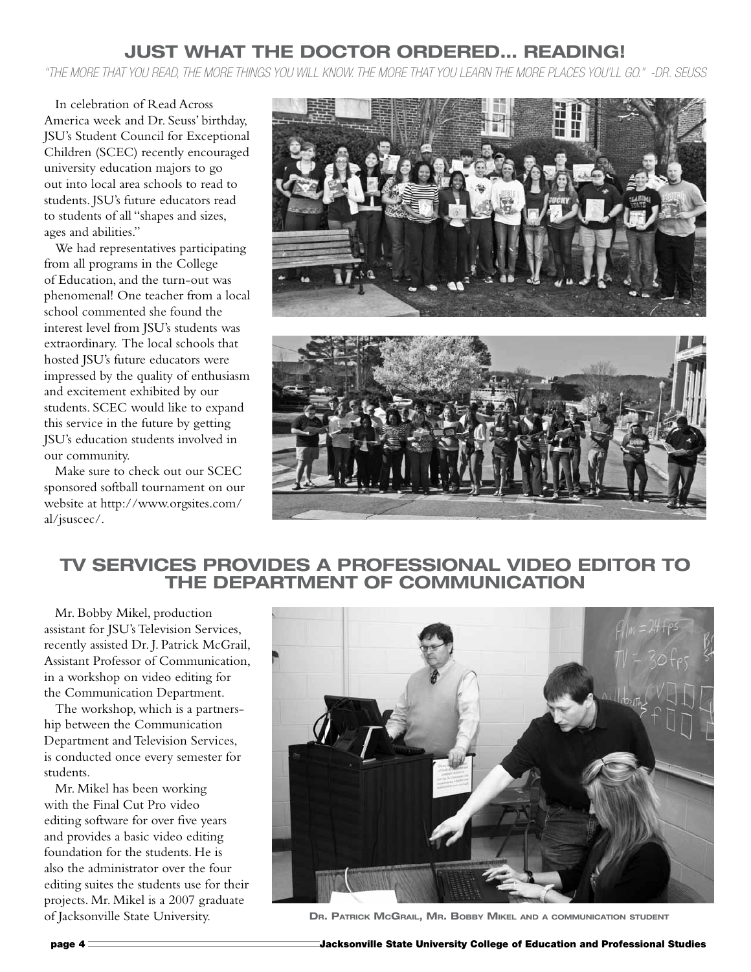## **Just What the Doctor Ordered… Reading!**

*"The more that you read, the more things you will know. The more that you learn the more places you'll go." -Dr. Seuss*

In celebration of Read Across America week and Dr. Seuss' birthday, JSU's Student Council for Exceptional Children (SCEC) recently encouraged university education majors to go out into local area schools to read to students. JSU's future educators read to students of all "shapes and sizes, ages and abilities."

We had representatives participating from all programs in the College of Education, and the turn-out was phenomenal! One teacher from a local school commented she found the interest level from JSU's students was extraordinary. The local schools that hosted JSU's future educators were impressed by the quality of enthusiasm and excitement exhibited by our students. SCEC would like to expand this service in the future by getting JSU's education students involved in our community.

Make sure to check out our SCEC sponsored softball tournament on our website at http://www.orgsites.com/ al/jsuscec/.





### **TV Services Provides a Professional Video Editor to The Department of Communication**

Mr. Bobby Mikel, production assistant for JSU's Television Services, recently assisted Dr. J. Patrick McGrail, Assistant Professor of Communication, in a workshop on video editing for the Communication Department.

The workshop, which is a partnership between the Communication Department and Television Services, is conducted once every semester for students.

Mr. Mikel has been working with the Final Cut Pro video editing software for over five years and provides a basic video editing foundation for the students. He is also the administrator over the four editing suites the students use for their projects. Mr. Mikel is a 2007 graduate of Jacksonville State University.



**Dr. Patrick McGrail, Mr. Bobby Mikel and <sup>a</sup> communication student**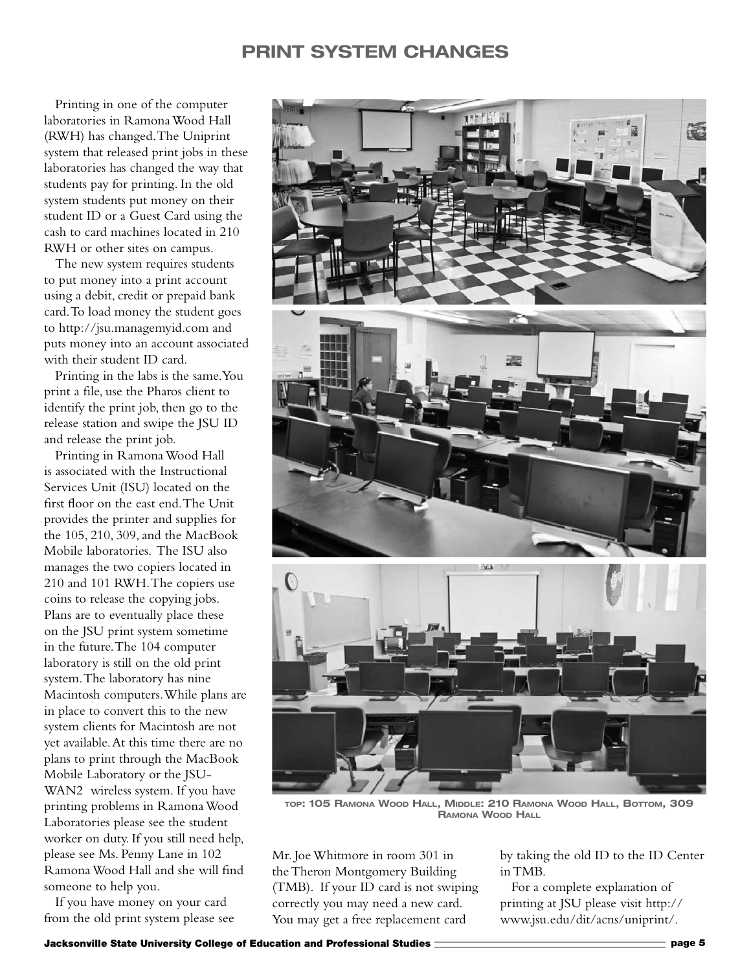## **Print System Changes**

Printing in one of the computer laboratories in Ramona Wood Hall (RWH) has changed. The Uniprint system that released print jobs in these laboratories has changed the way that students pay for printing. In the old system students put money on their student ID or a Guest Card using the cash to card machines located in 210 RWH or other sites on campus.

The new system requires students to put money into a print account using a debit, credit or prepaid bank card. To load money the student goes to http://jsu.managemyid.com and puts money into an account associated with their student ID card.

Printing in the labs is the same. You print a file, use the Pharos client to identify the print job, then go to the release station and swipe the JSU ID and release the print job.

Printing in Ramona Wood Hall is associated with the Instructional Services Unit (ISU) located on the first floor on the east end. The Unit provides the printer and supplies for the 105, 210, 309, and the MacBook Mobile laboratories. The ISU also manages the two copiers located in 210 and 101 RWH. The copiers use coins to release the copying jobs. Plans are to eventually place these on the JSU print system sometime in the future. The 104 computer laboratory is still on the old print system. The laboratory has nine Macintosh computers. While plans are in place to convert this to the new system clients for Macintosh are not yet available. At this time there are no plans to print through the MacBook Mobile Laboratory or the JSU-WAN2 wireless system. If you have printing problems in Ramona Wood Laboratories please see the student worker on duty. If you still need help, please see Ms. Penny Lane in 102 Ramona Wood Hall and she will find someone to help you.

If you have money on your card from the old print system please see



**top: 105 Ramona Wood Hall, Middle: 210 Ramona Wood Hall, Bottom, 309 Ramona Wood Hall**

Mr. Joe Whitmore in room 301 in the Theron Montgomery Building (TMB). If your ID card is not swiping correctly you may need a new card. You may get a free replacement card

by taking the old ID to the ID Center in TMB.

For a complete explanation of printing at JSU please visit http:// www.jsu.edu/dit/acns/uniprint/.